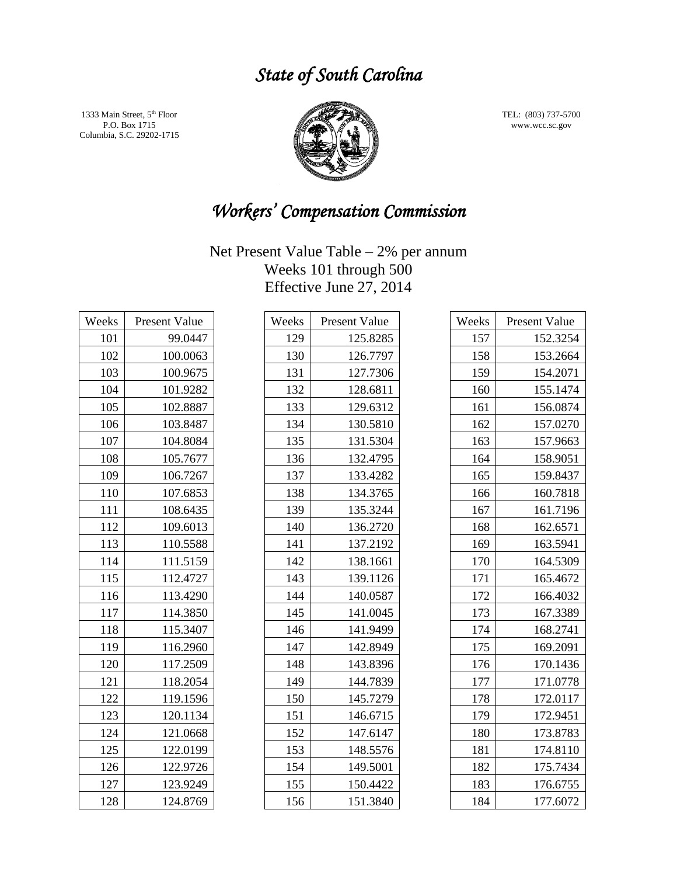## *State of South Carolina*

1333 Main Street,  $5^{\rm th}$  Floor P.O. Box 1715 Columbia, S.C. 29202-1715



TEL: (803) 737-5700 www.wcc.sc.gov

# *Workers' Compensation Commission*

| Weeks | Present Value |
|-------|---------------|
| 101   | 99.0447       |
| 102   | 100.0063      |
| 103   | 100.9675      |
| 104   | 101.9282      |
| 105   | 102.8887      |
| 106   | 103.8487      |
| 107   | 104.8084      |
| 108   | 105.7677      |
| 109   | 106.7267      |
| 110   | 107.6853      |
| 111   | 108.6435      |
| 112   | 109.6013      |
| 113   | 110.5588      |
| 114   | 111.5159      |
| 115   | 112.4727      |
| 116   | 113.4290      |
| 117   | 114.3850      |
| 118   | 115.3407      |
| 119   | 116.2960      |
| 120   | 117.2509      |
| 121   | 118.2054      |
| 122   | 119.1596      |
| 123   | 120.1134      |
| 124   | 121.0668      |
| 125   | 122.0199      |
| 126   | 122.9726      |
| 127   | 123.9249      |
| 128   | 124.8769      |

| Weeks | Present Value |
|-------|---------------|
| 129   | 125.8285      |
| 130   | 126.7797      |
| 131   | 127.7306      |
| 132   | 128.6811      |
| 133   | 129.6312      |
| 134   | 130.5810      |
| 135   | 131.5304      |
| 136   | 132.4795      |
| 137   | 133.4282      |
| 138   | 134.3765      |
| 139   | 135.3244      |
| 140   | 136.2720      |
| 141   | 137.2192      |
| 142   | 138.1661      |
| 143   | 139.1126      |
| 144   | 140.0587      |
| 145   | 141.0045      |
| 146   | 141.9499      |
| 147   | 142.8949      |
| 148   | 143.8396      |
| 149   | 144.7839      |
| 150   | 145.7279      |
| 151   | 146.6715      |
| 152   | 147.6147      |
| 153   | 148.5576      |
| 154   | 149.5001      |
| 155   | 150.4422      |
| 156   | 151.3840      |

| Weeks | Present Value |
|-------|---------------|
| 157   | 152.3254      |
| 158   | 153.2664      |
| 159   | 154.2071      |
| 160   | 155.1474      |
| 161   | 156.0874      |
| 162   | 157.0270      |
| 163   | 157.9663      |
| 164   | 158.9051      |
| 165   | 159.8437      |
| 166   | 160.7818      |
| 167   | 161.7196      |
| 168   | 162.6571      |
| 169   | 163.5941      |
| 170   | 164.5309      |
| 171   | 165.4672      |
| 172   | 166.4032      |
| 173   | 167.3389      |
| 174   | 168.2741      |
| 175   | 169.2091      |
| 176   | 170.1436      |
| 177   | 171.0778      |
| 178   | 172.0117      |
| 179   | 172.9451      |
| 180   | 173.8783      |
| 181   | 174.8110      |
| 182   | 175.7434      |
| 183   | 176.6755      |
| 184   | 177.6072      |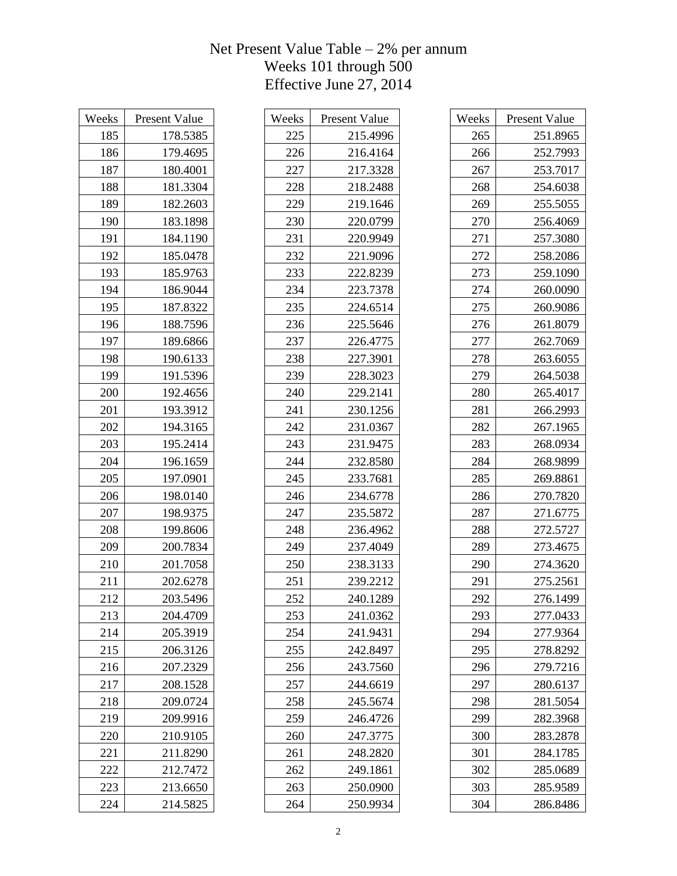| Weeks | <b>Present Value</b><br>178.5385 |
|-------|----------------------------------|
| 185   |                                  |
| 186   | 179.4695                         |
| 187   | 180.4001                         |
| 188   | 181.3304                         |
| 189   | 182.2603                         |
| 190   | 183.1898                         |
| 191   | 184.1190                         |
| 192   | 185.0478                         |
| 193   | 185.9763                         |
| 194   | 186.9044                         |
| 195   | 187.8322                         |
| 196   | 188.7596                         |
| 197   | 189.6866                         |
| 198   | 190.6133                         |
| 199   | 191.5396                         |
| 200   | 192.4656                         |
| 201   | 193.3912                         |
| 202   | 194.3165                         |
| 203   | 195.2414                         |
| 204   | 196.1659                         |
| 205   | 197.0901                         |
| 206   | 198.0140                         |
| 207   | 198.9375                         |
| 208   | 199.8606                         |
| 209   | 200.7834                         |
| 210   | 201.7058                         |
| 211   | 202.6278                         |
| 212   | 203.5496                         |
| 213   | 204.4709                         |
| 214   | 205.3919                         |
| 215   | 206.3126                         |
| 216   | 207.2329                         |
| 217   | 208.1528                         |
| 218   | 209.0724                         |
| 219   | 209.9916                         |
| 220   | 210.9105                         |
| 221   | 211.8290                         |
| 222   | 212.7472                         |
| 223   | 213.6650                         |
| 224   | 214.5825                         |

| Weeks | <b>Present Value</b> |
|-------|----------------------|
| 225   | 215.4996             |
| 226   | 216.4164             |
| 227   | 217.3328             |
| 228   | 218.2488             |
| 229   | 219.1646             |
| 230   | 220.0799             |
| 231   | 220.9949             |
| 232   | 221.9096             |
| 233   | 222.8239             |
| 234   | 223.7378             |
| 235   | 224.6514             |
| 236   | 225.5646             |
| 237   | 226.4775             |
| 238   | 227.3901             |
| 239   | 228.3023             |
| 240   | 229.2141             |
| 241   | 230.1256             |
| 242   | 231.0367             |
| 243   | 231.9475             |
| 244   | 232.8580             |
| 245   | 233.7681             |
| 246   | 234.6778             |
| 247   | 235.5872             |
| 248   | 236.4962             |
| 249   | 237.4049             |
| 250   | 238.3133             |
| 251   | 239.2212             |
| 252   | 240.1289             |
| 253   | 241.0362             |
| 254   | 241.9431             |
| 255   | 242.8497             |
| 256   | 243.7560             |
| 257   | 244.6619             |
| 258   | 245.5674             |
| 259   | 246.4726             |
| 260   | 247.3775             |
| 261   | 248.2820             |
| 262   | 249.1861             |
| 263   | 250.0900             |
| 264   | 250.9934             |

| Weeks | Present Value |
|-------|---------------|
| 265   | 251.8965      |
| 266   | 252.7993      |
| 267   | 253.7017      |
| 268   | 254.6038      |
| 269   | 255.5055      |
| 270   | 256.4069      |
| 271   | 257.3080      |
| 272   | 258.2086      |
| 273   | 259.1090      |
| 274   | 260.0090      |
| 275   | 260.9086      |
| 276   | 261.8079      |
| 277   | 262.7069      |
| 278   | 263.6055      |
| 279   | 264.5038      |
| 280   | 265.4017      |
| 281   | 266.2993      |
| 282   | 267.1965      |
| 283   | 268.0934      |
| 284   | 268.9899      |
| 285   | 269.8861      |
| 286   | 270.7820      |
| 287   | 271.6775      |
| 288   | 272.5727      |
| 289   | 273.4675      |
| 290   | 274.3620      |
| 291   | 275.2561      |
| 292   | 276.1499      |
| 293   | 277.0433      |
| 294   | 277.9364      |
| 295   | 278.8292      |
| 296   | 279.7216      |
| 297   | 280.6137      |
| 298   | 281.5054      |
| 299   | 282.3968      |
| 300   | 283.2878      |
| 301   | 284.1785      |
| 302   | 285.0689      |
| 303   | 285.9589      |
| 304   | 286.8486      |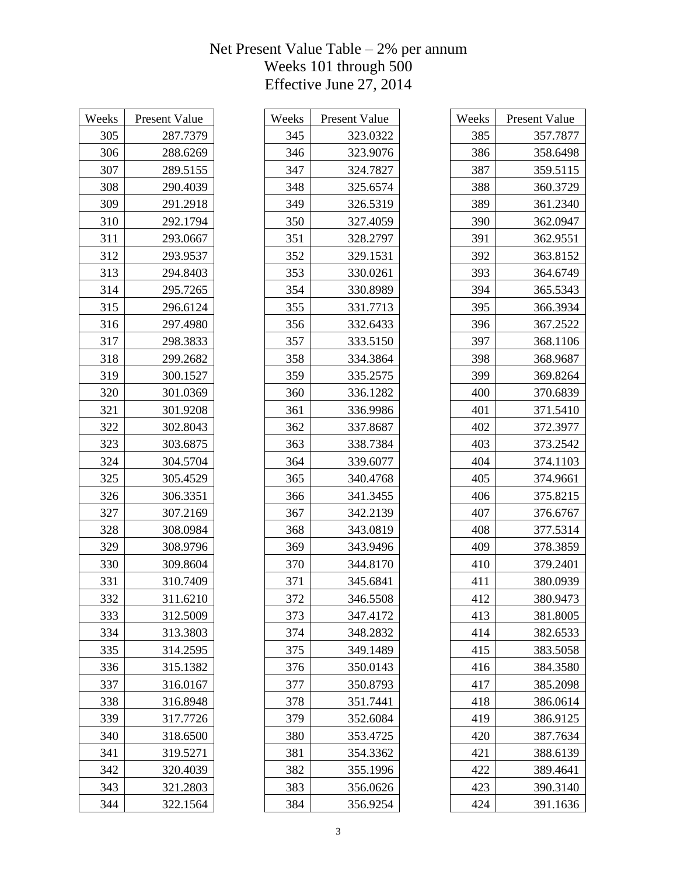| Weeks | <b>Present Value</b> |
|-------|----------------------|
| 305   | 287.7379             |
| 306   | 288.6269             |
| 307   | 289.5155             |
| 308   | 290.4039             |
| 309   | 291.2918             |
| 310   | 292.1794             |
| 311   | 293.0667             |
| 312   | 293.9537             |
| 313   | 294.8403             |
| 314   | 295.7265             |
| 315   | 296.6124             |
| 316   | 297.4980             |
| 317   | 298.3833             |
| 318   | 299.2682             |
| 319   | 300.1527             |
| 320   | 301.0369             |
| 321   | 301.9208             |
| 322   | 302.8043             |
| 323   | 303.6875             |
| 324   | 304.5704             |
| 325   | 305.4529             |
| 326   | 306.3351             |
| 327   | 307.2169             |
| 328   | 308.0984             |
| 329   | 308.9796             |
| 330   | 309.8604             |
| 331   | 310.7409             |
| 332   | 311.6210             |
| 333   | 312.5009             |
| 334   | 313.3803             |
| 335   | 314.2595             |
| 336   | 315.1382             |
| 337   | 316.0167             |
| 338   | 316.8948             |
| 339   | 317.7726             |
| 340   | 318.6500             |
| 341   | 319.5271             |
| 342   | 320.4039             |
| 343   | 321.2803             |
| 344   | 322.1564             |

| Weeks | <b>Present Value</b> |
|-------|----------------------|
| 345   | 323.0322             |
| 346   | 323.9076             |
| 347   | 324.7827             |
| 348   | 325.6574             |
| 349   | 326.5319             |
| 350   | 327.4059             |
| 351   | 328.2797             |
| 352   | 329.1531             |
| 353   | 330.0261             |
| 354   | 330.8989             |
| 355   | 331.7713             |
| 356   | 332.6433             |
| 357   | 333.5150             |
| 358   | 334.3864             |
| 359   | 335.2575             |
| 360   | 336.1282             |
| 361   | 336.9986             |
| 362   | 337.8687             |
| 363   | 338.7384             |
| 364   | 339.6077             |
| 365   | 340.4768             |
| 366   | 341.3455             |
| 367   | 342.2139             |
| 368   | 343.0819             |
| 369   | 343.9496             |
| 370   | 344.8170             |
| 371   | 345.6841             |
| 372   | 346.5508             |
| 373   | 347.4172             |
| 374   | 348.2832             |
| 375   | 349.1489             |
| 376   | 350.0143             |
| 377   | 350.8793             |
| 378   | 351.7441             |
| 379   | 352.6084             |
| 380   | 353.4725             |
| 381   | 354.3362             |
| 382   | 355.1996             |
| 383   | 356.0626             |
| 384   | 356.9254             |

| Weeks | <b>Present Value</b> |
|-------|----------------------|
| 385   | 357.7877             |
| 386   | 358.6498             |
| 387   | 359.5115             |
| 388   | 360.3729             |
| 389   | 361.2340             |
| 390   | 362.0947             |
| 391   | 362.9551             |
| 392   | 363.8152             |
| 393   | 364.6749             |
| 394   | 365.5343             |
| 395   | 366.3934             |
| 396   | 367.2522             |
| 397   | 368.1106             |
| 398   | 368.9687             |
| 399   | 369.8264             |
| 400   | 370.6839             |
| 401   | 371.5410             |
| 402   | 372.3977             |
| 403   | 373.2542             |
| 404   | 374.1103             |
| 405   | 374.9661             |
| 406   | 375.8215             |
| 407   | 376.6767             |
| 408   | 377.5314             |
| 409   | 378.3859             |
| 410   | 379.2401             |
| 411   | 380.0939             |
| 412   | 380.9473             |
| 413   | 381.8005             |
| 414   | 382.6533             |
| 415   | 383.5058             |
| 416   | 384.3580             |
| 417   | 385.2098             |
| 418   | 386.0614             |
| 419   | 386.9125             |
| 420   | 387.7634             |
| 421   | 388.6139             |
| 422   | 389.4641             |
| 423   | 390.3140             |
| 424   | 391.1636             |